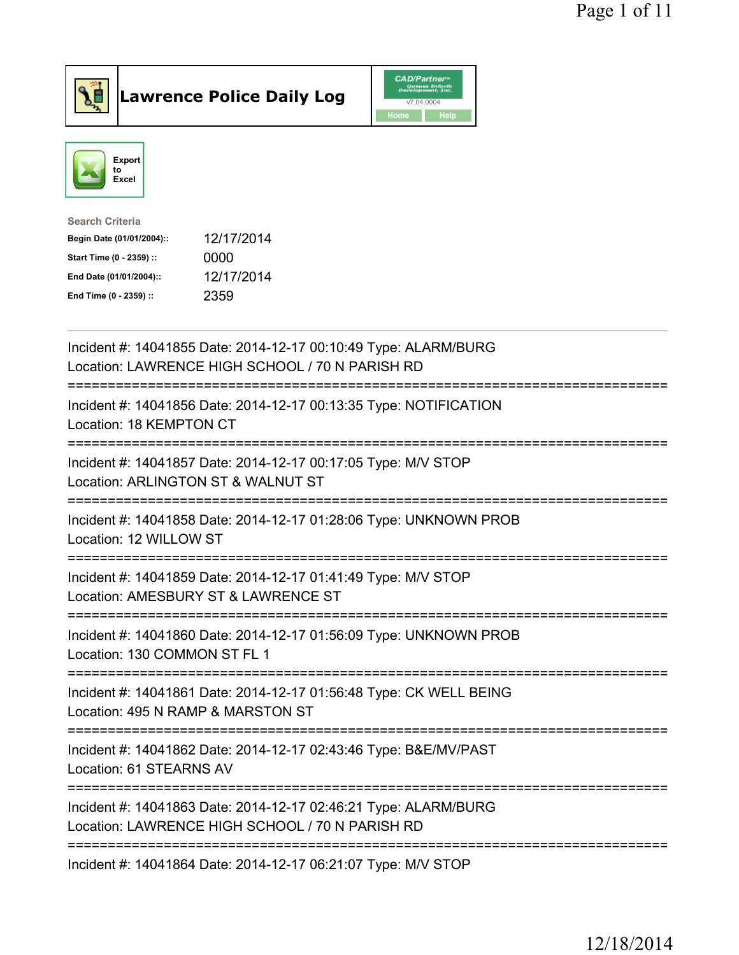



| Search Criteria           |            |
|---------------------------|------------|
| Begin Date (01/01/2004):: | 12/17/2014 |
| Start Time (0 - 2359) ::  | 0000       |
| End Date (01/01/2004)::   | 12/17/2014 |
| End Time (0 - 2359) ::    | 2359       |
|                           |            |

| Incident #: 14041855 Date: 2014-12-17 00:10:49 Type: ALARM/BURG<br>Location: LAWRENCE HIGH SCHOOL / 70 N PARISH RD                     |
|----------------------------------------------------------------------------------------------------------------------------------------|
| Incident #: 14041856 Date: 2014-12-17 00:13:35 Type: NOTIFICATION<br>Location: 18 KEMPTON CT                                           |
| Incident #: 14041857 Date: 2014-12-17 00:17:05 Type: M/V STOP<br>Location: ARLINGTON ST & WALNUT ST<br>-----------------------         |
| Incident #: 14041858 Date: 2014-12-17 01:28:06 Type: UNKNOWN PROB<br>Location: 12 WILLOW ST<br>-====================================   |
| Incident #: 14041859 Date: 2014-12-17 01:41:49 Type: M/V STOP<br>Location: AMESBURY ST & LAWRENCE ST<br>============================== |
| Incident #: 14041860 Date: 2014-12-17 01:56:09 Type: UNKNOWN PROB<br>Location: 130 COMMON ST FL 1                                      |
| Incident #: 14041861 Date: 2014-12-17 01:56:48 Type: CK WELL BEING<br>Location: 495 N RAMP & MARSTON ST                                |
| Incident #: 14041862 Date: 2014-12-17 02:43:46 Type: B&E/MV/PAST<br>Location: 61 STEARNS AV                                            |
| Incident #: 14041863 Date: 2014-12-17 02:46:21 Type: ALARM/BURG<br>Location: LAWRENCE HIGH SCHOOL / 70 N PARISH RD                     |
| Incident #: 14041864 Date: 2014-12-17 06:21:07 Type: M/V STOP                                                                          |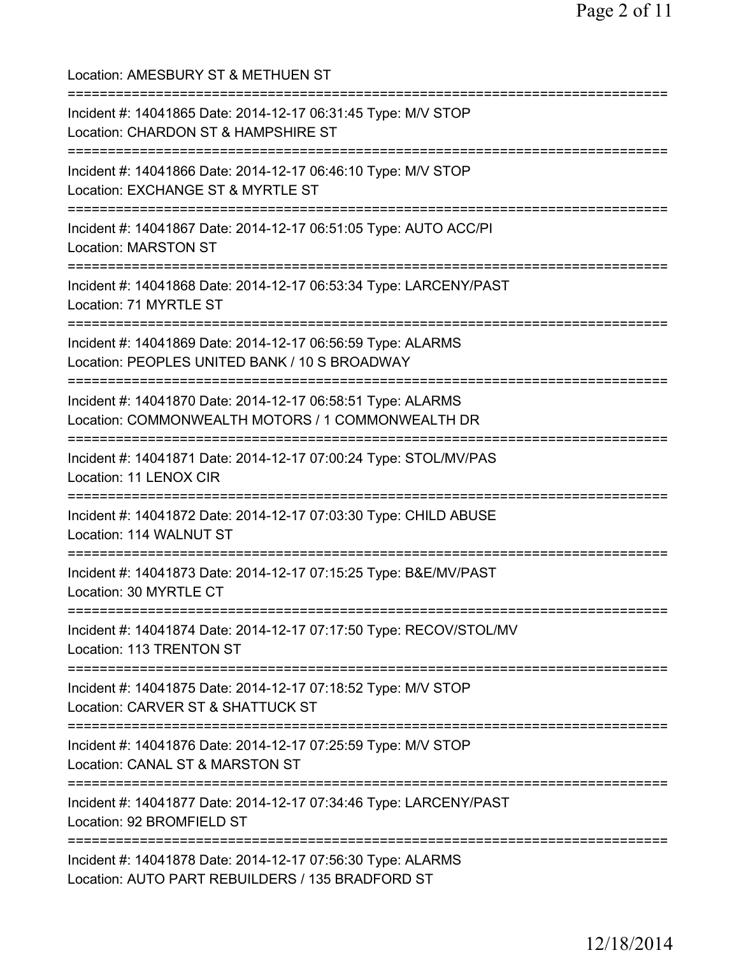| Location: AMESBURY ST & METHUEN ST<br>============================                                               |
|------------------------------------------------------------------------------------------------------------------|
| Incident #: 14041865 Date: 2014-12-17 06:31:45 Type: M/V STOP<br>Location: CHARDON ST & HAMPSHIRE ST             |
| Incident #: 14041866 Date: 2014-12-17 06:46:10 Type: M/V STOP<br>Location: EXCHANGE ST & MYRTLE ST               |
| Incident #: 14041867 Date: 2014-12-17 06:51:05 Type: AUTO ACC/PI<br><b>Location: MARSTON ST</b>                  |
| Incident #: 14041868 Date: 2014-12-17 06:53:34 Type: LARCENY/PAST<br>Location: 71 MYRTLE ST                      |
| Incident #: 14041869 Date: 2014-12-17 06:56:59 Type: ALARMS<br>Location: PEOPLES UNITED BANK / 10 S BROADWAY     |
| Incident #: 14041870 Date: 2014-12-17 06:58:51 Type: ALARMS<br>Location: COMMONWEALTH MOTORS / 1 COMMONWEALTH DR |
| Incident #: 14041871 Date: 2014-12-17 07:00:24 Type: STOL/MV/PAS<br>Location: 11 LENOX CIR                       |
| Incident #: 14041872 Date: 2014-12-17 07:03:30 Type: CHILD ABUSE<br>Location: 114 WALNUT ST                      |
| Incident #: 14041873 Date: 2014-12-17 07:15:25 Type: B&E/MV/PAST<br>Location: 30 MYRTLE CT                       |
| ==============<br>Incident #: 14041874 Date: 2014-12-17 07:17:50 Type: RECOV/STOL/MV<br>Location: 113 TRENTON ST |
| Incident #: 14041875 Date: 2014-12-17 07:18:52 Type: M/V STOP<br>Location: CARVER ST & SHATTUCK ST               |
| Incident #: 14041876 Date: 2014-12-17 07:25:59 Type: M/V STOP<br>Location: CANAL ST & MARSTON ST                 |
| Incident #: 14041877 Date: 2014-12-17 07:34:46 Type: LARCENY/PAST<br>Location: 92 BROMFIELD ST                   |
| Incident #: 14041878 Date: 2014-12-17 07:56:30 Type: ALARMS<br>Location: AUTO PART REBUILDERS / 135 BRADFORD ST  |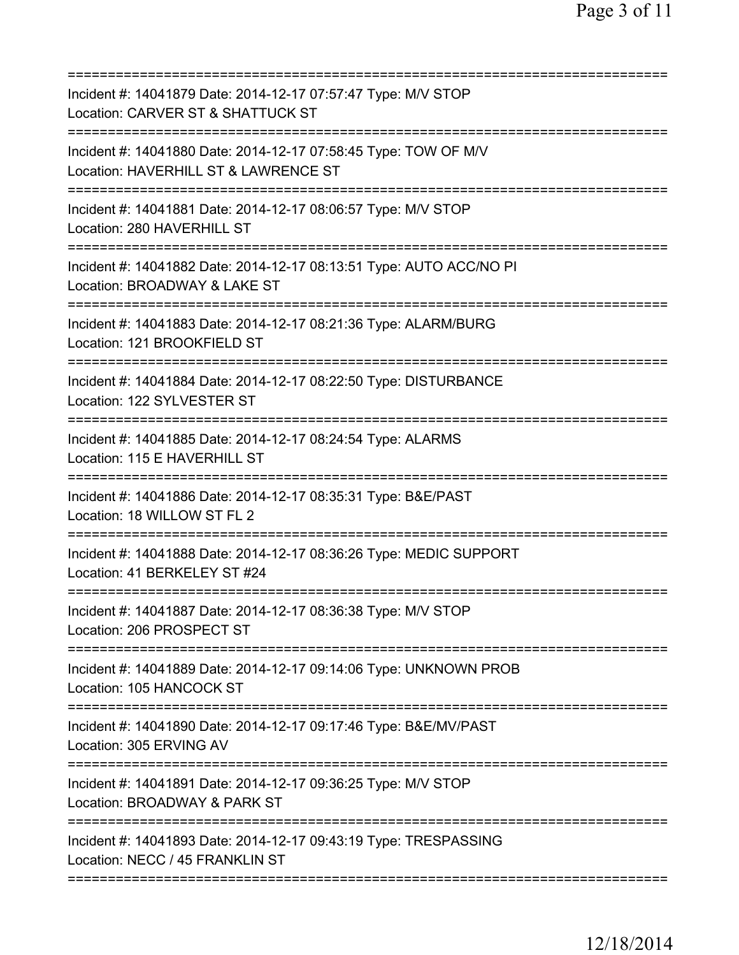| Incident #: 14041879 Date: 2014-12-17 07:57:47 Type: M/V STOP<br>Location: CARVER ST & SHATTUCK ST                             |
|--------------------------------------------------------------------------------------------------------------------------------|
| Incident #: 14041880 Date: 2014-12-17 07:58:45 Type: TOW OF M/V<br>Location: HAVERHILL ST & LAWRENCE ST                        |
| Incident #: 14041881 Date: 2014-12-17 08:06:57 Type: M/V STOP<br>Location: 280 HAVERHILL ST                                    |
| Incident #: 14041882 Date: 2014-12-17 08:13:51 Type: AUTO ACC/NO PI<br>Location: BROADWAY & LAKE ST<br>======================= |
| Incident #: 14041883 Date: 2014-12-17 08:21:36 Type: ALARM/BURG<br>Location: 121 BROOKFIELD ST                                 |
| Incident #: 14041884 Date: 2014-12-17 08:22:50 Type: DISTURBANCE<br>Location: 122 SYLVESTER ST                                 |
| Incident #: 14041885 Date: 2014-12-17 08:24:54 Type: ALARMS<br>Location: 115 E HAVERHILL ST                                    |
| Incident #: 14041886 Date: 2014-12-17 08:35:31 Type: B&E/PAST<br>Location: 18 WILLOW ST FL 2                                   |
| Incident #: 14041888 Date: 2014-12-17 08:36:26 Type: MEDIC SUPPORT<br>Location: 41 BERKELEY ST #24                             |
| Incident #: 14041887 Date: 2014-12-17 08:36:38 Type: M/V STOP<br>Location: 206 PROSPECT ST                                     |
| Incident #: 14041889 Date: 2014-12-17 09:14:06 Type: UNKNOWN PROB<br>Location: 105 HANCOCK ST                                  |
| Incident #: 14041890 Date: 2014-12-17 09:17:46 Type: B&E/MV/PAST<br>Location: 305 ERVING AV                                    |
| Incident #: 14041891 Date: 2014-12-17 09:36:25 Type: M/V STOP<br>Location: BROADWAY & PARK ST                                  |
| Incident #: 14041893 Date: 2014-12-17 09:43:19 Type: TRESPASSING<br>Location: NECC / 45 FRANKLIN ST                            |
|                                                                                                                                |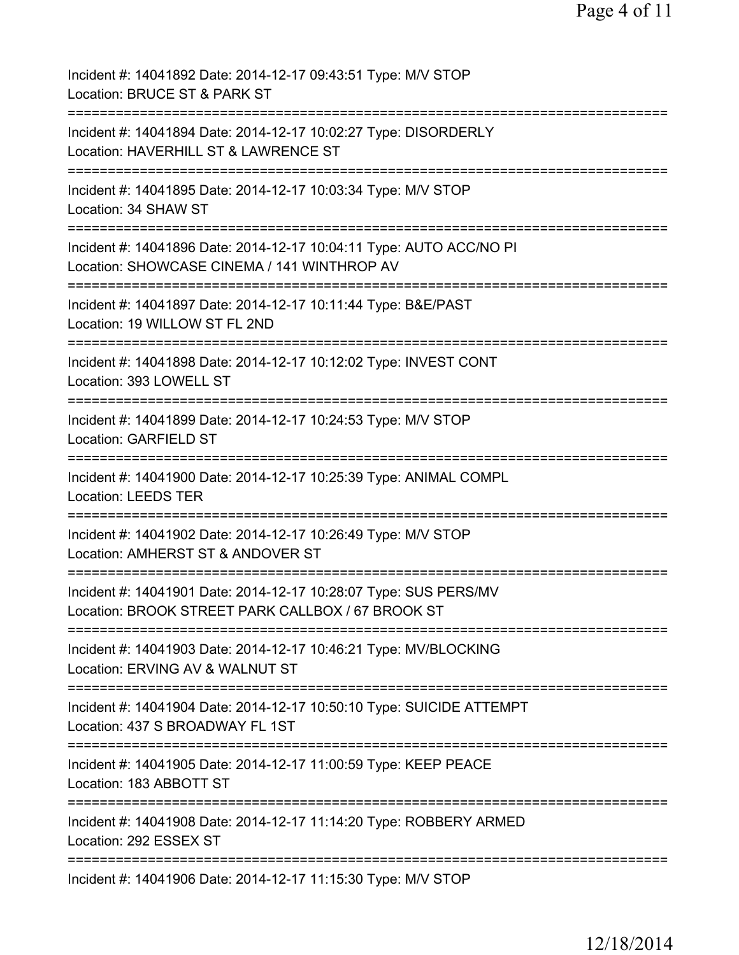| Incident #: 14041892 Date: 2014-12-17 09:43:51 Type: M/V STOP<br>Location: BRUCE ST & PARK ST                                     |
|-----------------------------------------------------------------------------------------------------------------------------------|
| Incident #: 14041894 Date: 2014-12-17 10:02:27 Type: DISORDERLY<br>Location: HAVERHILL ST & LAWRENCE ST                           |
| Incident #: 14041895 Date: 2014-12-17 10:03:34 Type: M/V STOP<br>Location: 34 SHAW ST                                             |
| Incident #: 14041896 Date: 2014-12-17 10:04:11 Type: AUTO ACC/NO PI<br>Location: SHOWCASE CINEMA / 141 WINTHROP AV                |
| Incident #: 14041897 Date: 2014-12-17 10:11:44 Type: B&E/PAST<br>Location: 19 WILLOW ST FL 2ND                                    |
| Incident #: 14041898 Date: 2014-12-17 10:12:02 Type: INVEST CONT<br>Location: 393 LOWELL ST                                       |
| Incident #: 14041899 Date: 2014-12-17 10:24:53 Type: M/V STOP<br>Location: GARFIELD ST<br>;==================================     |
| Incident #: 14041900 Date: 2014-12-17 10:25:39 Type: ANIMAL COMPL<br><b>Location: LEEDS TER</b>                                   |
| Incident #: 14041902 Date: 2014-12-17 10:26:49 Type: M/V STOP<br>Location: AMHERST ST & ANDOVER ST                                |
| Incident #: 14041901 Date: 2014-12-17 10:28:07 Type: SUS PERS/MV<br>Location: BROOK STREET PARK CALLBOX / 67 BROOK ST             |
| ==========================<br>Incident #: 14041903 Date: 2014-12-17 10:46:21 Type: MV/BLOCKING<br>Location: ERVING AV & WALNUT ST |
| Incident #: 14041904 Date: 2014-12-17 10:50:10 Type: SUICIDE ATTEMPT<br>Location: 437 S BROADWAY FL 1ST                           |
| Incident #: 14041905 Date: 2014-12-17 11:00:59 Type: KEEP PEACE<br>Location: 183 ABBOTT ST                                        |
| Incident #: 14041908 Date: 2014-12-17 11:14:20 Type: ROBBERY ARMED<br>Location: 292 ESSEX ST                                      |
| Incident #: 14041906 Date: 2014-12-17 11:15:30 Type: M/V STOP                                                                     |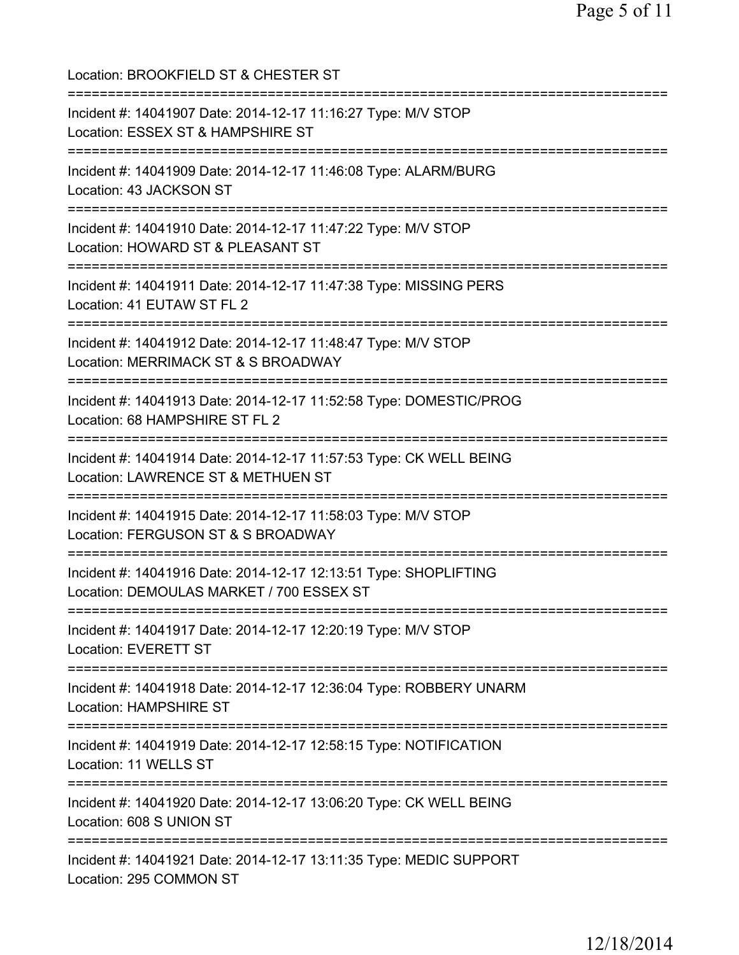Location: BROOKFIELD ST & CHESTER ST =========================================================================== Incident #: 14041907 Date: 2014-12-17 11:16:27 Type: M/V STOP Location: ESSEX ST & HAMPSHIRE ST =========================================================================== Incident #: 14041909 Date: 2014-12-17 11:46:08 Type: ALARM/BURG Location: 43 JACKSON ST =========================================================================== Incident #: 14041910 Date: 2014-12-17 11:47:22 Type: M/V STOP Location: HOWARD ST & PLEASANT ST =========================================================================== Incident #: 14041911 Date: 2014-12-17 11:47:38 Type: MISSING PERS Location: 41 EUTAW ST FL 2 =========================================================================== Incident #: 14041912 Date: 2014-12-17 11:48:47 Type: M/V STOP Location: MERRIMACK ST & S BROADWAY =========================================================================== Incident #: 14041913 Date: 2014-12-17 11:52:58 Type: DOMESTIC/PROG Location: 68 HAMPSHIRE ST FL 2 =========================================================================== Incident #: 14041914 Date: 2014-12-17 11:57:53 Type: CK WELL BEING Location: LAWRENCE ST & METHUEN ST =========================================================================== Incident #: 14041915 Date: 2014-12-17 11:58:03 Type: M/V STOP Location: FERGUSON ST & S BROADWAY =========================================================================== Incident #: 14041916 Date: 2014-12-17 12:13:51 Type: SHOPLIFTING Location: DEMOULAS MARKET / 700 ESSEX ST =========================================================================== Incident #: 14041917 Date: 2014-12-17 12:20:19 Type: M/V STOP Location: EVERETT ST =========================================================================== Incident #: 14041918 Date: 2014-12-17 12:36:04 Type: ROBBERY UNARM Location: HAMPSHIRE ST =========================================================================== Incident #: 14041919 Date: 2014-12-17 12:58:15 Type: NOTIFICATION Location: 11 WELLS ST =========================================================================== Incident #: 14041920 Date: 2014-12-17 13:06:20 Type: CK WELL BEING Location: 608 S UNION ST =========================================================================== Incident #: 14041921 Date: 2014-12-17 13:11:35 Type: MEDIC SUPPORT Location: 295 COMMON ST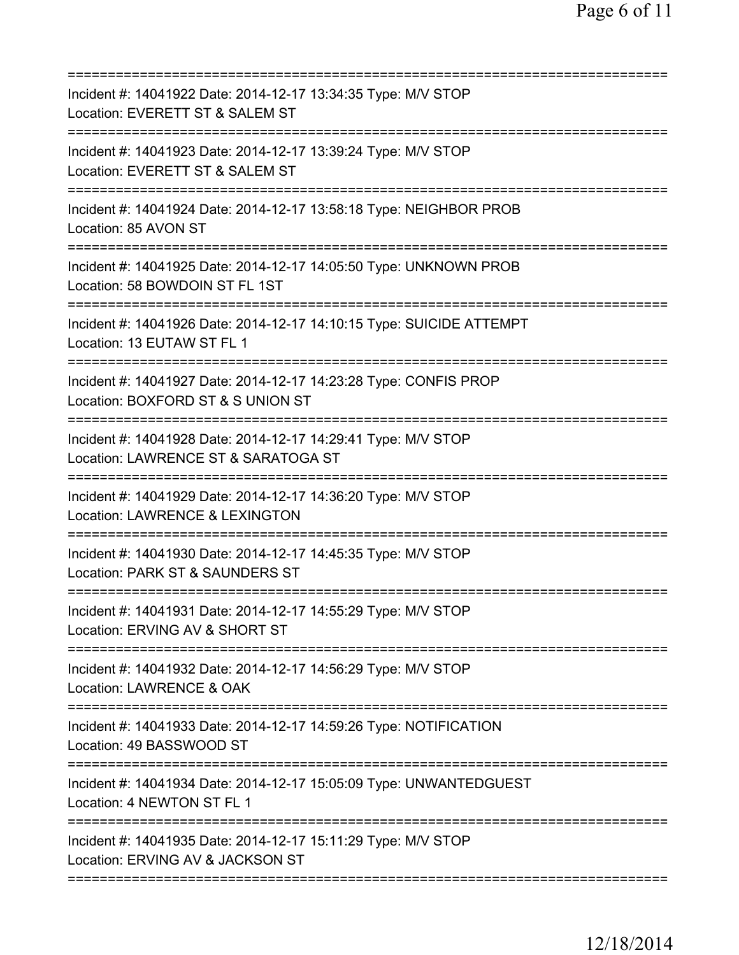| Incident #: 14041922 Date: 2014-12-17 13:34:35 Type: M/V STOP<br>Location: EVERETT ST & SALEM ST<br>===========================         |
|-----------------------------------------------------------------------------------------------------------------------------------------|
| Incident #: 14041923 Date: 2014-12-17 13:39:24 Type: M/V STOP<br>Location: EVERETT ST & SALEM ST                                        |
| Incident #: 14041924 Date: 2014-12-17 13:58:18 Type: NEIGHBOR PROB<br>Location: 85 AVON ST                                              |
| Incident #: 14041925 Date: 2014-12-17 14:05:50 Type: UNKNOWN PROB<br>Location: 58 BOWDOIN ST FL 1ST                                     |
| Incident #: 14041926 Date: 2014-12-17 14:10:15 Type: SUICIDE ATTEMPT<br>Location: 13 EUTAW ST FL 1                                      |
| Incident #: 14041927 Date: 2014-12-17 14:23:28 Type: CONFIS PROP<br>Location: BOXFORD ST & S UNION ST<br>============================== |
| Incident #: 14041928 Date: 2014-12-17 14:29:41 Type: M/V STOP<br>Location: LAWRENCE ST & SARATOGA ST<br>==========================      |
| Incident #: 14041929 Date: 2014-12-17 14:36:20 Type: M/V STOP<br>Location: LAWRENCE & LEXINGTON                                         |
| Incident #: 14041930 Date: 2014-12-17 14:45:35 Type: M/V STOP<br>Location: PARK ST & SAUNDERS ST                                        |
| Incident #: 14041931 Date: 2014-12-17 14:55:29 Type: M/V STOP<br>Location: ERVING AV & SHORT ST                                         |
| ;===================================<br>Incident #: 14041932 Date: 2014-12-17 14:56:29 Type: M/V STOP<br>Location: LAWRENCE & OAK       |
| Incident #: 14041933 Date: 2014-12-17 14:59:26 Type: NOTIFICATION<br>Location: 49 BASSWOOD ST                                           |
| Incident #: 14041934 Date: 2014-12-17 15:05:09 Type: UNWANTEDGUEST<br>Location: 4 NEWTON ST FL 1                                        |
| Incident #: 14041935 Date: 2014-12-17 15:11:29 Type: M/V STOP<br>Location: ERVING AV & JACKSON ST                                       |
|                                                                                                                                         |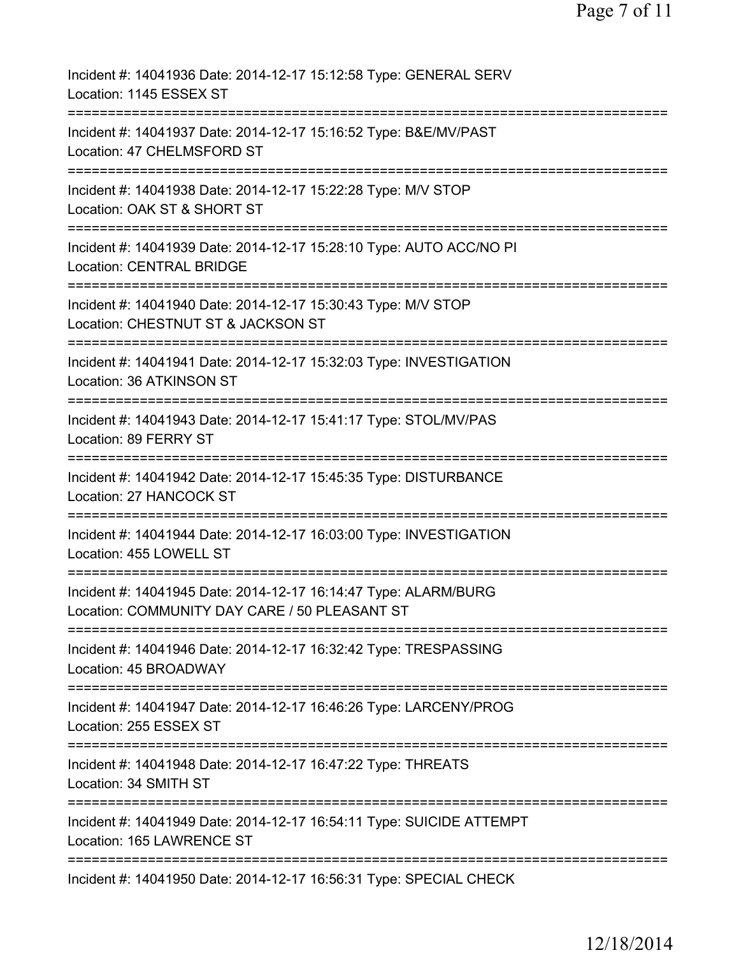| Incident #: 14041936 Date: 2014-12-17 15:12:58 Type: GENERAL SERV<br>Location: 1145 ESSEX ST                     |
|------------------------------------------------------------------------------------------------------------------|
| Incident #: 14041937 Date: 2014-12-17 15:16:52 Type: B&E/MV/PAST<br>Location: 47 CHELMSFORD ST                   |
| Incident #: 14041938 Date: 2014-12-17 15:22:28 Type: M/V STOP<br>Location: OAK ST & SHORT ST                     |
| Incident #: 14041939 Date: 2014-12-17 15:28:10 Type: AUTO ACC/NO PI<br><b>Location: CENTRAL BRIDGE</b>           |
| Incident #: 14041940 Date: 2014-12-17 15:30:43 Type: M/V STOP<br>Location: CHESTNUT ST & JACKSON ST              |
| Incident #: 14041941 Date: 2014-12-17 15:32:03 Type: INVESTIGATION<br>Location: 36 ATKINSON ST                   |
| Incident #: 14041943 Date: 2014-12-17 15:41:17 Type: STOL/MV/PAS<br>Location: 89 FERRY ST                        |
| ---------<br>Incident #: 14041942 Date: 2014-12-17 15:45:35 Type: DISTURBANCE<br>Location: 27 HANCOCK ST         |
| ===============<br>Incident #: 14041944 Date: 2014-12-17 16:03:00 Type: INVESTIGATION<br>Location: 455 LOWELL ST |
| Incident #: 14041945 Date: 2014-12-17 16:14:47 Type: ALARM/BURG<br>Location: COMMUNITY DAY CARE / 50 PLEASANT ST |
| Incident #: 14041946 Date: 2014-12-17 16:32:42 Type: TRESPASSING<br>Location: 45 BROADWAY                        |
| Incident #: 14041947 Date: 2014-12-17 16:46:26 Type: LARCENY/PROG<br>Location: 255 ESSEX ST                      |
| Incident #: 14041948 Date: 2014-12-17 16:47:22 Type: THREATS<br>Location: 34 SMITH ST                            |
| Incident #: 14041949 Date: 2014-12-17 16:54:11 Type: SUICIDE ATTEMPT<br>Location: 165 LAWRENCE ST                |
| Incident #: 14041950 Date: 2014-12-17 16:56:31 Type: SPECIAL CHECK                                               |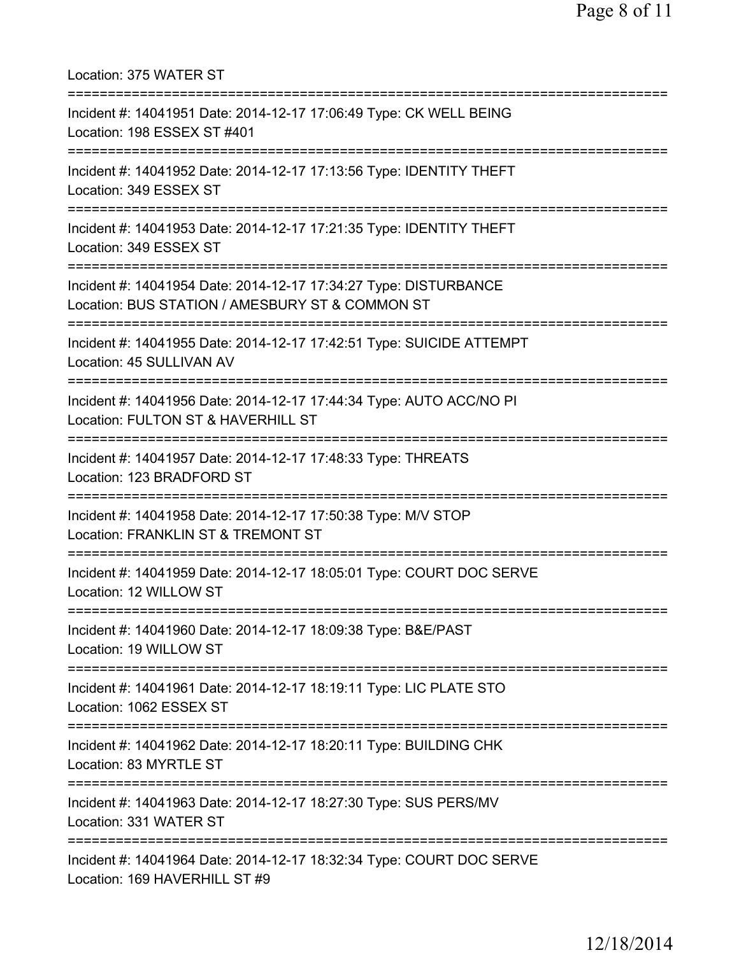Location: 375 WATER ST =========================================================================== Incident #: 14041951 Date: 2014-12-17 17:06:49 Type: CK WELL BEING Location: 198 ESSEX ST #401 =========================================================================== Incident #: 14041952 Date: 2014-12-17 17:13:56 Type: IDENTITY THEFT Location: 349 ESSEX ST =========================================================================== Incident #: 14041953 Date: 2014-12-17 17:21:35 Type: IDENTITY THEFT Location: 349 ESSEX ST =========================================================================== Incident #: 14041954 Date: 2014-12-17 17:34:27 Type: DISTURBANCE Location: BUS STATION / AMESBURY ST & COMMON ST =========================================================================== Incident #: 14041955 Date: 2014-12-17 17:42:51 Type: SUICIDE ATTEMPT Location: 45 SULLIVAN AV =========================================================================== Incident #: 14041956 Date: 2014-12-17 17:44:34 Type: AUTO ACC/NO PI Location: FULTON ST & HAVERHILL ST =========================================================================== Incident #: 14041957 Date: 2014-12-17 17:48:33 Type: THREATS Location: 123 BRADFORD ST =========================================================================== Incident #: 14041958 Date: 2014-12-17 17:50:38 Type: M/V STOP Location: FRANKLIN ST & TREMONT ST =========================================================================== Incident #: 14041959 Date: 2014-12-17 18:05:01 Type: COURT DOC SERVE Location: 12 WILLOW ST =========================================================================== Incident #: 14041960 Date: 2014-12-17 18:09:38 Type: B&E/PAST Location: 19 WILLOW ST =========================================================================== Incident #: 14041961 Date: 2014-12-17 18:19:11 Type: LIC PLATE STO Location: 1062 ESSEX ST =========================================================================== Incident #: 14041962 Date: 2014-12-17 18:20:11 Type: BUILDING CHK Location: 83 MYRTLE ST =========================================================================== Incident #: 14041963 Date: 2014-12-17 18:27:30 Type: SUS PERS/MV Location: 331 WATER ST =========================================================================== Incident #: 14041964 Date: 2014-12-17 18:32:34 Type: COURT DOC SERVE Location: 169 HAVERHILL ST #9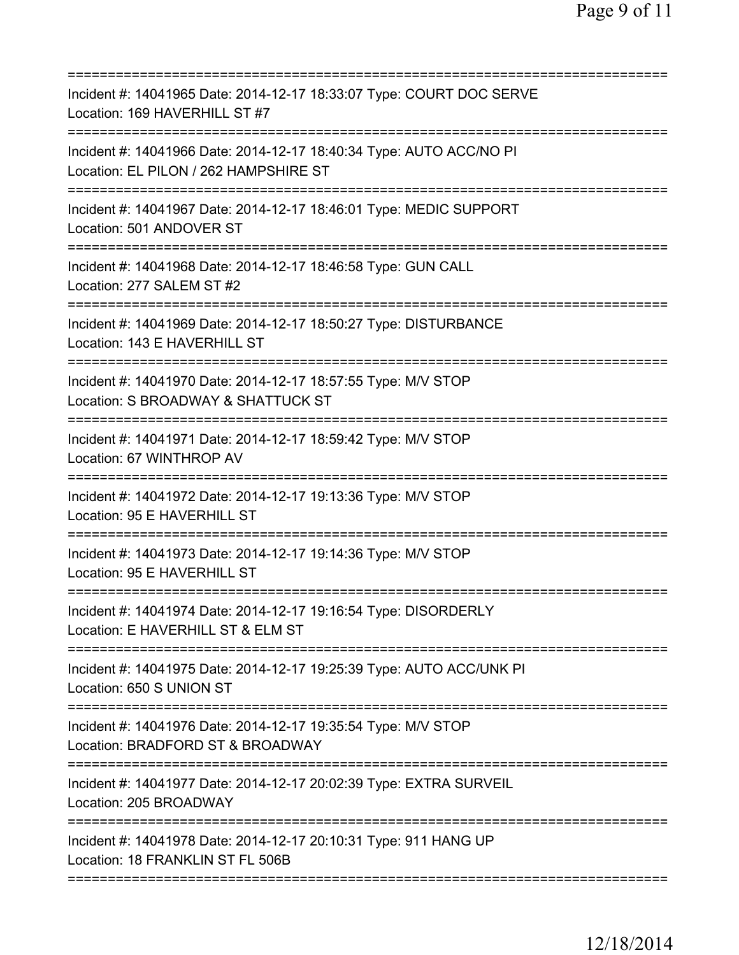| =========================                                                                                         |
|-------------------------------------------------------------------------------------------------------------------|
| Incident #: 14041965 Date: 2014-12-17 18:33:07 Type: COURT DOC SERVE<br>Location: 169 HAVERHILL ST #7             |
| Incident #: 14041966 Date: 2014-12-17 18:40:34 Type: AUTO ACC/NO PI<br>Location: EL PILON / 262 HAMPSHIRE ST      |
| Incident #: 14041967 Date: 2014-12-17 18:46:01 Type: MEDIC SUPPORT<br>Location: 501 ANDOVER ST                    |
| Incident #: 14041968 Date: 2014-12-17 18:46:58 Type: GUN CALL<br>Location: 277 SALEM ST #2                        |
| Incident #: 14041969 Date: 2014-12-17 18:50:27 Type: DISTURBANCE<br>Location: 143 E HAVERHILL ST                  |
| Incident #: 14041970 Date: 2014-12-17 18:57:55 Type: M/V STOP<br>Location: S BROADWAY & SHATTUCK ST               |
| Incident #: 14041971 Date: 2014-12-17 18:59:42 Type: M/V STOP<br>Location: 67 WINTHROP AV<br>==============       |
| Incident #: 14041972 Date: 2014-12-17 19:13:36 Type: M/V STOP<br>Location: 95 E HAVERHILL ST                      |
| Incident #: 14041973 Date: 2014-12-17 19:14:36 Type: M/V STOP<br>Location: 95 E HAVERHILL ST<br>================= |
| Incident #: 14041974 Date: 2014-12-17 19:16:54 Type: DISORDERLY<br>Location: E HAVERHILL ST & ELM ST              |
| Incident #: 14041975 Date: 2014-12-17 19:25:39 Type: AUTO ACC/UNK PI<br>Location: 650 S UNION ST                  |
| Incident #: 14041976 Date: 2014-12-17 19:35:54 Type: M/V STOP<br>Location: BRADFORD ST & BROADWAY                 |
| Incident #: 14041977 Date: 2014-12-17 20:02:39 Type: EXTRA SURVEIL<br>Location: 205 BROADWAY                      |
| Incident #: 14041978 Date: 2014-12-17 20:10:31 Type: 911 HANG UP<br>Location: 18 FRANKLIN ST FL 506B              |
|                                                                                                                   |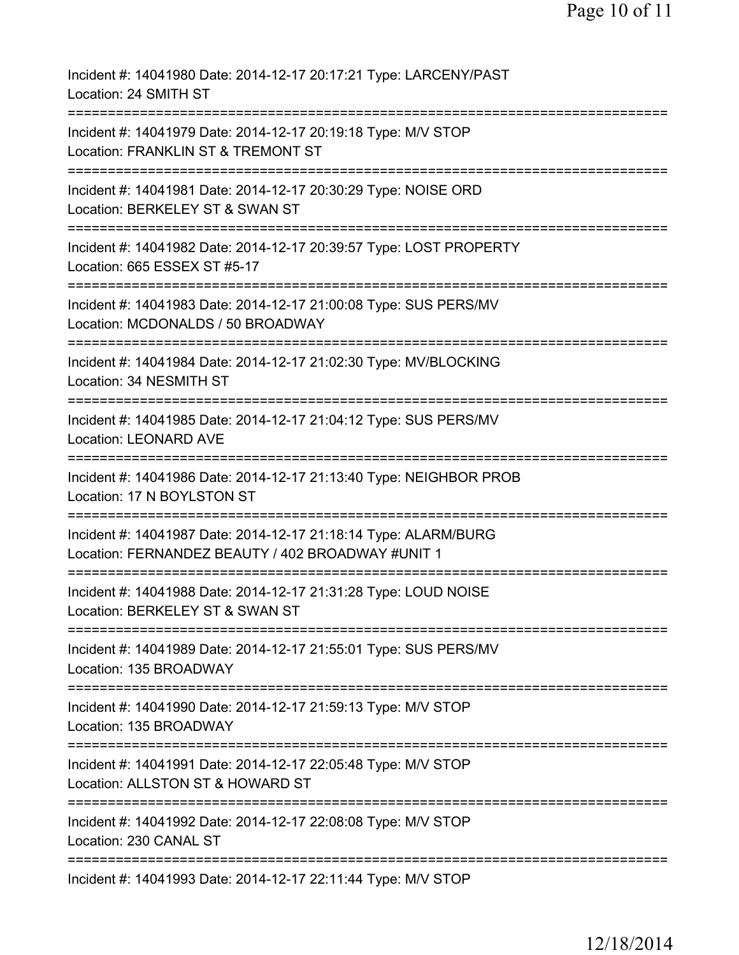| Incident #: 14041980 Date: 2014-12-17 20:17:21 Type: LARCENY/PAST<br>Location: 24 SMITH ST                           |
|----------------------------------------------------------------------------------------------------------------------|
| Incident #: 14041979 Date: 2014-12-17 20:19:18 Type: M/V STOP<br>Location: FRANKLIN ST & TREMONT ST                  |
| Incident #: 14041981 Date: 2014-12-17 20:30:29 Type: NOISE ORD<br>Location: BERKELEY ST & SWAN ST                    |
| Incident #: 14041982 Date: 2014-12-17 20:39:57 Type: LOST PROPERTY<br>Location: 665 ESSEX ST #5-17<br>-----------    |
| Incident #: 14041983 Date: 2014-12-17 21:00:08 Type: SUS PERS/MV<br>Location: MCDONALDS / 50 BROADWAY                |
| Incident #: 14041984 Date: 2014-12-17 21:02:30 Type: MV/BLOCKING<br>Location: 34 NESMITH ST                          |
| Incident #: 14041985 Date: 2014-12-17 21:04:12 Type: SUS PERS/MV<br><b>Location: LEONARD AVE</b>                     |
| Incident #: 14041986 Date: 2014-12-17 21:13:40 Type: NEIGHBOR PROB<br>Location: 17 N BOYLSTON ST                     |
| Incident #: 14041987 Date: 2014-12-17 21:18:14 Type: ALARM/BURG<br>Location: FERNANDEZ BEAUTY / 402 BROADWAY #UNIT 1 |
| Incident #: 14041988 Date: 2014-12-17 21:31:28 Type: LOUD NOISE<br>Location: BERKELEY ST & SWAN ST                   |
| Incident #: 14041989 Date: 2014-12-17 21:55:01 Type: SUS PERS/MV<br>Location: 135 BROADWAY                           |
| Incident #: 14041990 Date: 2014-12-17 21:59:13 Type: M/V STOP<br>Location: 135 BROADWAY                              |
| Incident #: 14041991 Date: 2014-12-17 22:05:48 Type: M/V STOP<br>Location: ALLSTON ST & HOWARD ST                    |
| Incident #: 14041992 Date: 2014-12-17 22:08:08 Type: M/V STOP<br>Location: 230 CANAL ST                              |
| ===========================<br>Incident #: 14041993 Date: 2014-12-17 22:11:44 Type: M/V STOP                         |